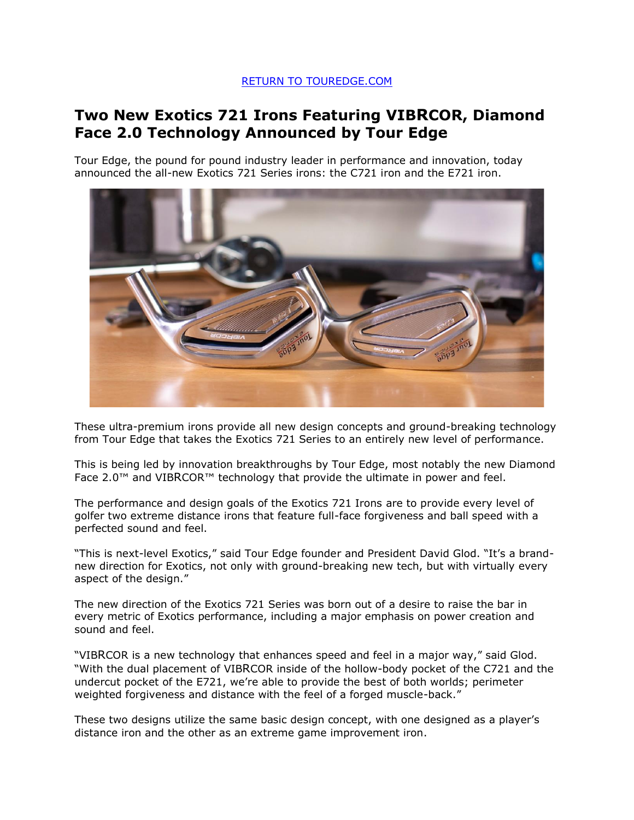## [RETURN TO TOUREDGE.COM](https://www.touredge.com/)

# **Two New Exotics 721 Irons Featuring VIBRCOR, Diamond Face 2.0 Technology Announced by Tour Edge**

Tour Edge, the pound for pound industry leader in performance and innovation, today announced the all-new Exotics 721 Series irons: the C721 iron and the E721 iron.



These ultra-premium irons provide all new design concepts and ground-breaking technology from Tour Edge that takes the Exotics 721 Series to an entirely new level of performance.

This is being led by innovation breakthroughs by Tour Edge, most notably the new Diamond Face 2.0™ and VIBRCOR™ technology that provide the ultimate in power and feel.

The performance and design goals of the Exotics 721 Irons are to provide every level of golfer two extreme distance irons that feature full-face forgiveness and ball speed with a perfected sound and feel.

"This is next-level Exotics," said Tour Edge founder and President David Glod. "It's a brandnew direction for Exotics, not only with ground-breaking new tech, but with virtually every aspect of the design."

The new direction of the Exotics 721 Series was born out of a desire to raise the bar in every metric of Exotics performance, including a major emphasis on power creation and sound and feel.

"VIBRCOR is a new technology that enhances speed and feel in a major way," said Glod. "With the dual placement of VIBRCOR inside of the hollow-body pocket of the C721 and the undercut pocket of the E721, we're able to provide the best of both worlds; perimeter weighted forgiveness and distance with the feel of a forged muscle-back."

These two designs utilize the same basic design concept, with one designed as a player's distance iron and the other as an extreme game improvement iron.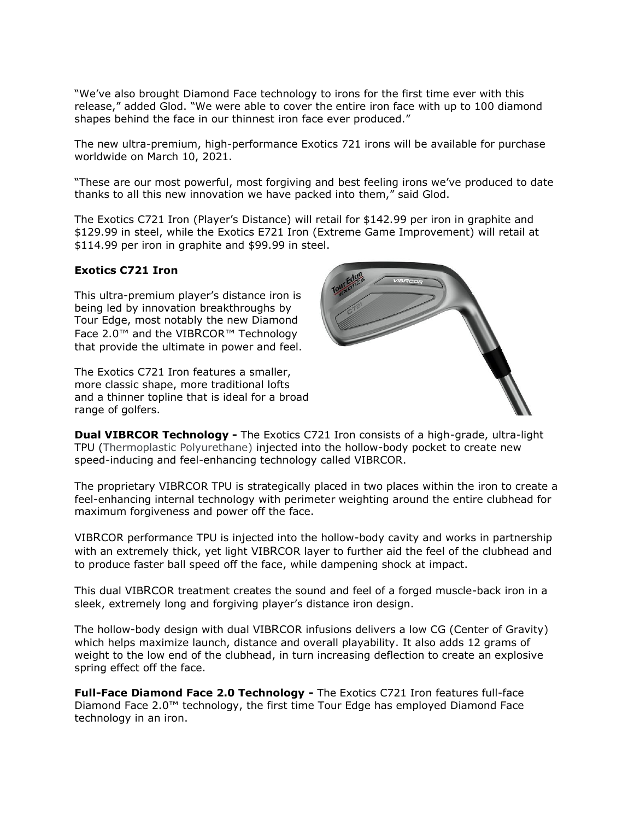"We've also brought Diamond Face technology to irons for the first time ever with this release," added Glod. "We were able to cover the entire iron face with up to 100 diamond shapes behind the face in our thinnest iron face ever produced."

The new ultra-premium, high-performance Exotics 721 irons will be available for purchase worldwide on March 10, 2021.

"These are our most powerful, most forgiving and best feeling irons we've produced to date thanks to all this new innovation we have packed into them," said Glod.

The Exotics C721 Iron (Player's Distance) will retail for \$142.99 per iron in graphite and \$129.99 in steel, while the Exotics E721 Iron (Extreme Game Improvement) will retail at \$114.99 per iron in graphite and \$99.99 in steel.

## **Exotics C721 Iron**

This ultra-premium player's distance iron is being led by innovation breakthroughs by Tour Edge, most notably the new Diamond Face 2.0™ and the VIBRCOR™ Technology that provide the ultimate in power and feel.

The Exotics C721 Iron features a smaller, more classic shape, more traditional lofts and a thinner topline that is ideal for a broad range of golfers.



**Dual VIBRCOR Technology -** The Exotics C721 Iron consists of a high-grade, ultra-light TPU (Thermoplastic Polyurethane) injected into the hollow-body pocket to create new speed-inducing and feel-enhancing technology called VIBRCOR.

The proprietary VIBRCOR TPU is strategically placed in two places within the iron to create a feel-enhancing internal technology with perimeter weighting around the entire clubhead for maximum forgiveness and power off the face.

VIBRCOR performance TPU is injected into the hollow-body cavity and works in partnership with an extremely thick, yet light VIBRCOR layer to further aid the feel of the clubhead and to produce faster ball speed off the face, while dampening shock at impact.

This dual VIBRCOR treatment creates the sound and feel of a forged muscle-back iron in a sleek, extremely long and forgiving player's distance iron design.

The hollow-body design with dual VIBRCOR infusions delivers a low CG (Center of Gravity) which helps maximize launch, distance and overall playability. It also adds 12 grams of weight to the low end of the clubhead, in turn increasing deflection to create an explosive spring effect off the face.

**Full-Face Diamond Face 2.0 Technology -** The Exotics C721 Iron features full-face Diamond Face 2.0™ technology, the first time Tour Edge has employed Diamond Face technology in an iron.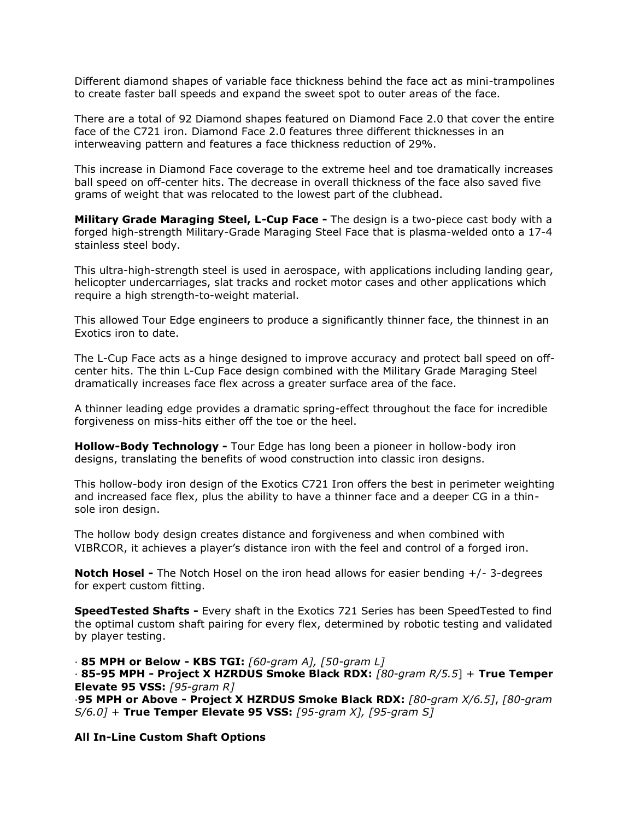Different diamond shapes of variable face thickness behind the face act as mini-trampolines to create faster ball speeds and expand the sweet spot to outer areas of the face.

There are a total of 92 Diamond shapes featured on Diamond Face 2.0 that cover the entire face of the C721 iron. Diamond Face 2.0 features three different thicknesses in an interweaving pattern and features a face thickness reduction of 29%.

This increase in Diamond Face coverage to the extreme heel and toe dramatically increases ball speed on off-center hits. The decrease in overall thickness of the face also saved five grams of weight that was relocated to the lowest part of the clubhead.

**Military Grade Maraging Steel, L-Cup Face -** The design is a two-piece cast body with a forged high-strength Military-Grade Maraging Steel Face that is plasma-welded onto a 17-4 stainless steel body.

This ultra-high-strength steel is used in aerospace, with applications including landing gear, helicopter undercarriages, slat tracks and rocket motor cases and other applications which require a high strength-to-weight material.

This allowed Tour Edge engineers to produce a significantly thinner face, the thinnest in an Exotics iron to date.

The L-Cup Face acts as a hinge designed to improve accuracy and protect ball speed on offcenter hits. The thin L-Cup Face design combined with the Military Grade Maraging Steel dramatically increases face flex across a greater surface area of the face.

A thinner leading edge provides a dramatic spring-effect throughout the face for incredible forgiveness on miss-hits either off the toe or the heel.

**Hollow-Body Technology -** Tour Edge has long been a pioneer in hollow-body iron designs, translating the benefits of wood construction into classic iron designs.

This hollow-body iron design of the Exotics C721 Iron offers the best in perimeter weighting and increased face flex, plus the ability to have a thinner face and a deeper CG in a thinsole iron design.

The hollow body design creates distance and forgiveness and when combined with VIBRCOR, it achieves a player's distance iron with the feel and control of a forged iron.

**Notch Hosel -** The Notch Hosel on the iron head allows for easier bending +/- 3-degrees for expert custom fitting.

**SpeedTested Shafts -** Every shaft in the Exotics 721 Series has been SpeedTested to find the optimal custom shaft pairing for every flex, determined by robotic testing and validated by player testing.

· **85 MPH or Below - KBS TGI:** *[60-gram A], [50-gram L]* · **85-95 MPH - Project X HZRDUS Smoke Black RDX:** *[80-gram R/5.5*] + **True Temper Elevate 95 VSS:** *[95-gram R]* ·**95 MPH or Above - Project X HZRDUS Smoke Black RDX:** *[80-gram X/6.5]*, *[80-gram S/6.0]* + **True Temper Elevate 95 VSS:** *[95-gram X], [95-gram S]*

**All In-Line Custom Shaft Options**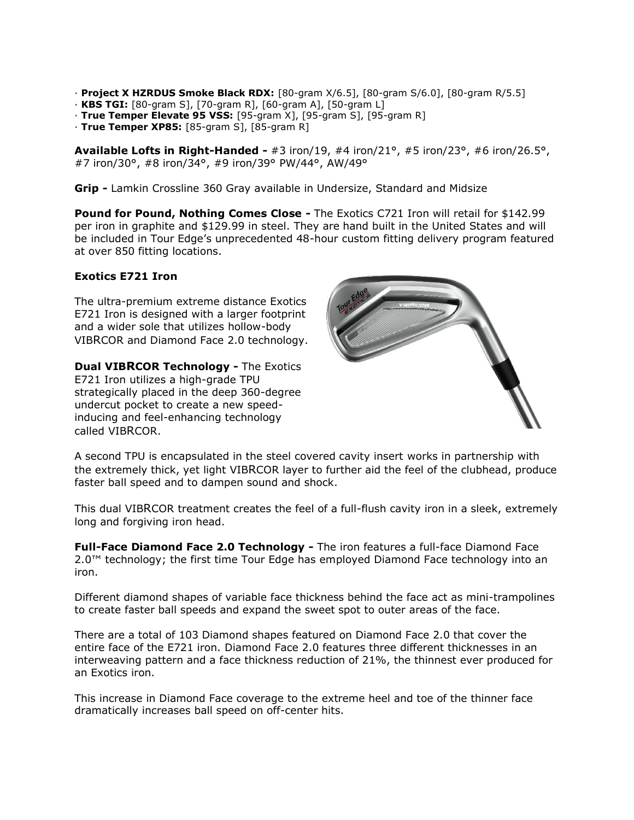- · **Project X HZRDUS Smoke Black RDX:** [80-gram X/6.5], [80-gram S/6.0], [80-gram R/5.5]
- · **KBS TGI:** [80-gram S], [70-gram R], [60-gram A], [50-gram L]
- · **True Temper Elevate 95 VSS:** [95-gram X], [95-gram S], [95-gram R]
- · **True Temper XP85:** [85-gram S], [85-gram R]

**Available Lofts in Right-Handed -** #3 iron/19, #4 iron/21°, #5 iron/23°, #6 iron/26.5°, #7 iron/30°, #8 iron/34°, #9 iron/39° PW/44°, AW/49°

**Grip -** Lamkin Crossline 360 Gray available in Undersize, Standard and Midsize

**Pound for Pound, Nothing Comes Close -** The Exotics C721 Iron will retail for \$142.99 per iron in graphite and \$129.99 in steel. They are hand built in the United States and will be included in Tour Edge's unprecedented 48-hour custom fitting delivery program featured at over 850 fitting locations.

#### **Exotics E721 Iron**

The ultra-premium extreme distance Exotics E721 Iron is designed with a larger footprint and a wider sole that utilizes hollow-body VIBRCOR and Diamond Face 2.0 technology.

**Dual VIBRCOR Technology -** The Exotics E721 Iron utilizes a high-grade TPU strategically placed in the deep 360-degree undercut pocket to create a new speedinducing and feel-enhancing technology called VIBRCOR.



A second TPU is encapsulated in the steel covered cavity insert works in partnership with the extremely thick, yet light VIBRCOR layer to further aid the feel of the clubhead, produce faster ball speed and to dampen sound and shock.

This dual VIBRCOR treatment creates the feel of a full-flush cavity iron in a sleek, extremely long and forgiving iron head.

**Full-Face Diamond Face 2.0 Technology -** The iron features a full-face Diamond Face 2.0™ technology; the first time Tour Edge has employed Diamond Face technology into an iron.

Different diamond shapes of variable face thickness behind the face act as mini-trampolines to create faster ball speeds and expand the sweet spot to outer areas of the face.

There are a total of 103 Diamond shapes featured on Diamond Face 2.0 that cover the entire face of the E721 iron. Diamond Face 2.0 features three different thicknesses in an interweaving pattern and a face thickness reduction of 21%, the thinnest ever produced for an Exotics iron.

This increase in Diamond Face coverage to the extreme heel and toe of the thinner face dramatically increases ball speed on off-center hits.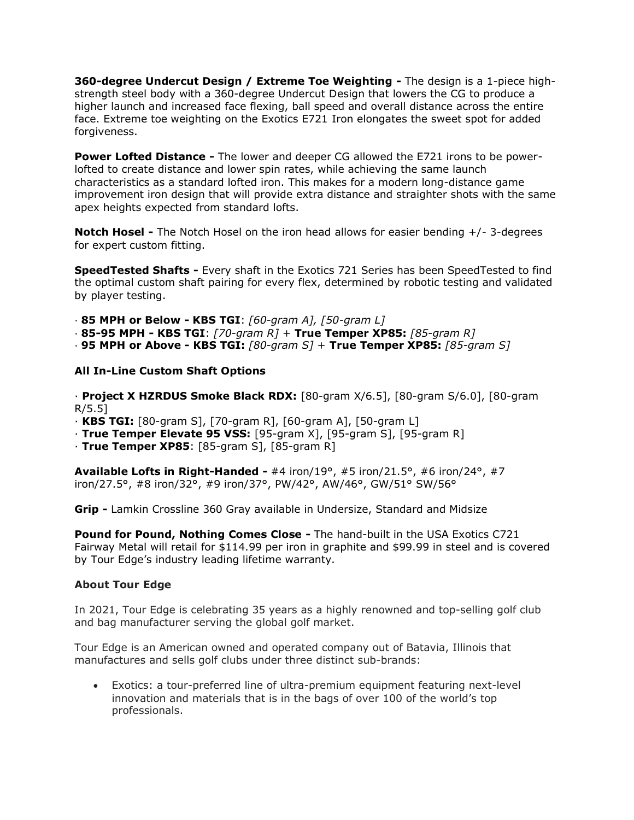**360-degree Undercut Design / Extreme Toe Weighting -** The design is a 1-piece highstrength steel body with a 360-degree Undercut Design that lowers the CG to produce a higher launch and increased face flexing, ball speed and overall distance across the entire face. Extreme toe weighting on the Exotics E721 Iron elongates the sweet spot for added forgiveness.

**Power Lofted Distance -** The lower and deeper CG allowed the E721 irons to be powerlofted to create distance and lower spin rates, while achieving the same launch characteristics as a standard lofted iron. This makes for a modern long-distance game improvement iron design that will provide extra distance and straighter shots with the same apex heights expected from standard lofts.

**Notch Hosel -** The Notch Hosel on the iron head allows for easier bending +/- 3-degrees for expert custom fitting.

**SpeedTested Shafts -** Every shaft in the Exotics 721 Series has been SpeedTested to find the optimal custom shaft pairing for every flex, determined by robotic testing and validated by player testing.

· **85 MPH or Below - KBS TGI**: *[60-gram A], [50-gram L]*

- · **85-95 MPH - KBS TGI**: *[70-gram R]* + **True Temper XP85:** *[85-gram R]*
- · **95 MPH or Above - KBS TGI:** *[80-gram S]* + **True Temper XP85:** *[85-gram S]*

#### **All In-Line Custom Shaft Options**

· **Project X HZRDUS Smoke Black RDX:** [80-gram X/6.5], [80-gram S/6.0], [80-gram R/5.5]

- · **KBS TGI:** [80-gram S], [70-gram R], [60-gram A], [50-gram L]
- · **True Temper Elevate 95 VSS:** [95-gram X], [95-gram S], [95-gram R]
- · **True Temper XP85**: [85-gram S], [85-gram R]

**Available Lofts in Right-Handed -** #4 iron/19°, #5 iron/21.5°, #6 iron/24°, #7 iron/27.5°, #8 iron/32°, #9 iron/37°, PW/42°, AW/46°, GW/51° SW/56°

**Grip -** Lamkin Crossline 360 Gray available in Undersize, Standard and Midsize

**Pound for Pound, Nothing Comes Close -** The hand-built in the USA Exotics C721 Fairway Metal will retail for \$114.99 per iron in graphite and \$99.99 in steel and is covered by Tour Edge's industry leading lifetime warranty.

## **About Tour Edge**

In 2021, Tour Edge is celebrating 35 years as a highly renowned and top-selling golf club and bag manufacturer serving the global golf market.

Tour Edge is an American owned and operated company out of Batavia, Illinois that manufactures and sells golf clubs under three distinct sub-brands:

• Exotics: a tour-preferred line of ultra-premium equipment featuring next-level innovation and materials that is in the bags of over 100 of the world's top professionals.